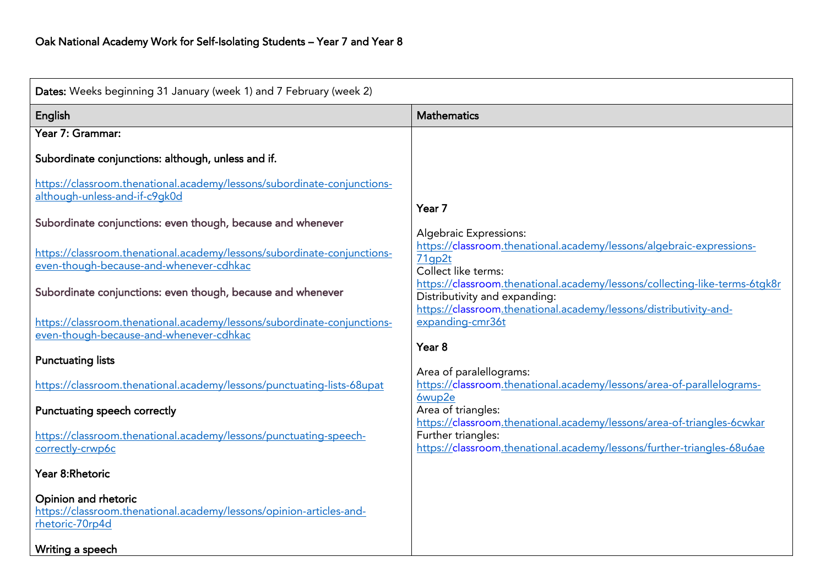| Dates: Weeks beginning 31 January (week 1) and 7 February (week 2)                                                 |                                                                                                                                        |  |
|--------------------------------------------------------------------------------------------------------------------|----------------------------------------------------------------------------------------------------------------------------------------|--|
| English                                                                                                            | <b>Mathematics</b>                                                                                                                     |  |
| Year 7: Grammar:                                                                                                   |                                                                                                                                        |  |
| Subordinate conjunctions: although, unless and if.                                                                 |                                                                                                                                        |  |
| https://classroom.thenational.academy/lessons/subordinate-conjunctions-<br>although-unless-and-if-c9gk0d           |                                                                                                                                        |  |
| Subordinate conjunctions: even though, because and whenever                                                        | Year 7                                                                                                                                 |  |
| https://classroom.thenational.academy/lessons/subordinate-conjunctions-<br>even-though-because-and-whenever-cdhkac | <b>Algebraic Expressions:</b><br>https://classroom.thenational.academy/lessons/algebraic-expressions-<br>71gp2t<br>Collect like terms: |  |
| Subordinate conjunctions: even though, because and whenever                                                        | https://classroom.thenational.academy/lessons/collecting-like-terms-6tgk8r<br>Distributivity and expanding:                            |  |
| https://classroom.thenational.academy/lessons/subordinate-conjunctions-<br>even-though-because-and-whenever-cdhkac | https://classroom.thenational.academy/lessons/distributivity-and-<br>expanding-cmr36t<br>Year <sub>8</sub>                             |  |
| <b>Punctuating lists</b>                                                                                           |                                                                                                                                        |  |
| https://classroom.thenational.academy/lessons/punctuating-lists-68upat                                             | Area of paralellograms:<br>https://classroom.thenational.academy/lessons/area-of-parallelograms-<br>6wup2e                             |  |
| Punctuating speech correctly                                                                                       | Area of triangles:<br>https://classroom.thenational.academy/lessons/area-of-triangles-6cwkar                                           |  |
| https://classroom.thenational.academy/lessons/punctuating-speech-<br>correctly-crwp6c                              | Further triangles:<br>https://classroom.thenational.academy/lessons/further-triangles-68u6ae                                           |  |
| Year 8:Rhetoric                                                                                                    |                                                                                                                                        |  |
| Opinion and rhetoric<br>https://classroom.thenational.academy/lessons/opinion-articles-and-<br>rhetoric-70rp4d     |                                                                                                                                        |  |
| Writing a speech                                                                                                   |                                                                                                                                        |  |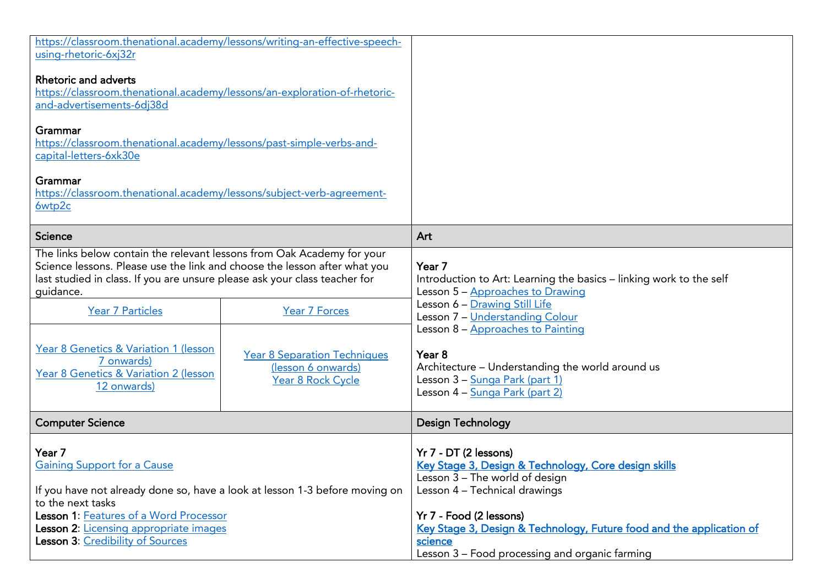| https://classroom.thenational.academy/lessons/writing-an-effective-speech-<br>using-rhetoric-6xj32r                                                                                                                                                                                                                                                                                                                                                                                 |                                                                                                                                                                                                                                                                                                                                       |
|-------------------------------------------------------------------------------------------------------------------------------------------------------------------------------------------------------------------------------------------------------------------------------------------------------------------------------------------------------------------------------------------------------------------------------------------------------------------------------------|---------------------------------------------------------------------------------------------------------------------------------------------------------------------------------------------------------------------------------------------------------------------------------------------------------------------------------------|
| Rhetoric and adverts<br>https://classroom.thenational.academy/lessons/an-exploration-of-rhetoric-<br>and-advertisements-6dj38d                                                                                                                                                                                                                                                                                                                                                      |                                                                                                                                                                                                                                                                                                                                       |
| Grammar<br>https://classroom.thenational.academy/lessons/past-simple-verbs-and-<br>capital-letters-6xk30e                                                                                                                                                                                                                                                                                                                                                                           |                                                                                                                                                                                                                                                                                                                                       |
| Grammar<br>https://classroom.thenational.academy/lessons/subject-verb-agreement-<br>6wtp2c                                                                                                                                                                                                                                                                                                                                                                                          |                                                                                                                                                                                                                                                                                                                                       |
| <b>Science</b>                                                                                                                                                                                                                                                                                                                                                                                                                                                                      | Art                                                                                                                                                                                                                                                                                                                                   |
| The links below contain the relevant lessons from Oak Academy for your<br>Science lessons. Please use the link and choose the lesson after what you<br>last studied in class. If you are unsure please ask your class teacher for<br>guidance.<br><b>Year 7 Particles</b><br><b>Year 7 Forces</b><br>Year 8 Genetics & Variation 1 (lesson<br><b>Year 8 Separation Techniques</b><br>7 onwards)<br>(lesson 6 onwards)<br>Year 8 Genetics & Variation 2 (lesson<br>Year 8 Rock Cycle | Year 7<br>Introduction to Art: Learning the basics - linking work to the self<br>Lesson 5 - Approaches to Drawing<br>Lesson 6 - Drawing Still Life<br>Lesson 7 - Understanding Colour<br>Lesson 8 - Approaches to Painting<br>Year <sub>8</sub><br>Architecture - Understanding the world around us<br>Lesson 3 – Sunga Park (part 1) |
| 12 onwards)<br><b>Computer Science</b>                                                                                                                                                                                                                                                                                                                                                                                                                                              | Lesson 4 - Sunga Park (part 2)<br><b>Design Technology</b>                                                                                                                                                                                                                                                                            |
| Year 7<br><b>Gaining Support for a Cause</b><br>If you have not already done so, have a look at lesson 1-3 before moving on<br>to the next tasks<br>Lesson 1: Features of a Word Processor<br>Lesson 2: Licensing appropriate images<br>Lesson 3: Credibility of Sources                                                                                                                                                                                                            | Yr 7 - DT (2 lessons)<br>Key Stage 3, Design & Technology, Core design skills<br>Lesson 3 - The world of design<br>Lesson 4 - Technical drawings<br>Yr 7 - Food (2 lessons)<br>Key Stage 3, Design & Technology, Future food and the application of<br>science<br>Lesson 3 - Food processing and organic farming                      |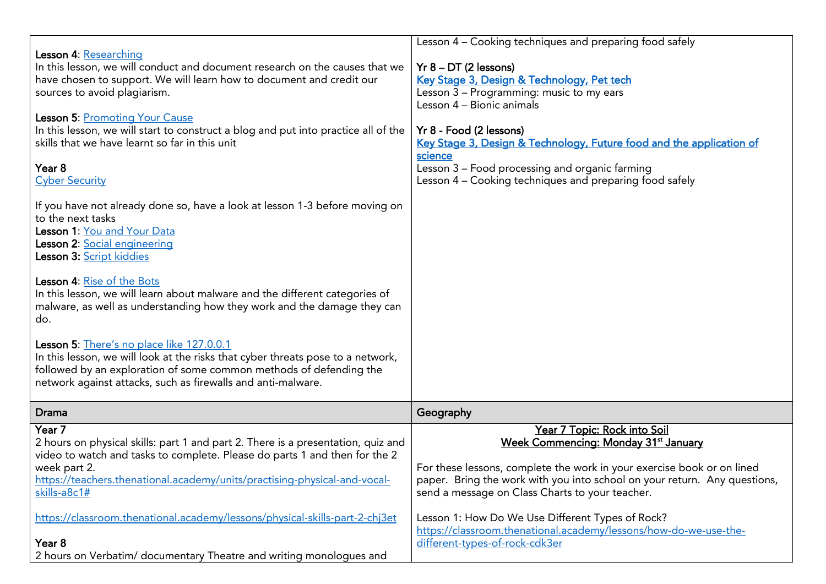| Lesson 4: Researching<br>In this lesson, we will conduct and document research on the causes that we<br>have chosen to support. We will learn how to document and credit our<br>sources to avoid plagiarism.<br><b>Lesson 5: Promoting Your Cause</b><br>In this lesson, we will start to construct a blog and put into practice all of the<br>skills that we have learnt so far in this unit<br>Year <sub>8</sub><br><b>Cyber Security</b><br>If you have not already done so, have a look at lesson 1-3 before moving on<br>to the next tasks<br>Lesson 1: You and Your Data<br>Lesson 2: Social engineering<br>Lesson 3: Script kiddies<br>Lesson 4: Rise of the Bots<br>In this lesson, we will learn about malware and the different categories of<br>malware, as well as understanding how they work and the damage they can<br>do.<br>Lesson 5: There's no place like 127.0.0.1<br>In this lesson, we will look at the risks that cyber threats pose to a network,<br>followed by an exploration of some common methods of defending the<br>network against attacks, such as firewalls and anti-malware. | Lesson 4 - Cooking techniques and preparing food safely<br>$Yr 8 - DT (2 lessons)$<br>Key Stage 3, Design & Technology, Pet tech<br>Lesson 3 - Programming: music to my ears<br>Lesson 4 - Bionic animals<br>Yr 8 - Food (2 lessons)<br>Key Stage 3, Design & Technology, Future food and the application of<br>science<br>Lesson 3 - Food processing and organic farming<br>Lesson 4 – Cooking techniques and preparing food safely                 |
|-----------------------------------------------------------------------------------------------------------------------------------------------------------------------------------------------------------------------------------------------------------------------------------------------------------------------------------------------------------------------------------------------------------------------------------------------------------------------------------------------------------------------------------------------------------------------------------------------------------------------------------------------------------------------------------------------------------------------------------------------------------------------------------------------------------------------------------------------------------------------------------------------------------------------------------------------------------------------------------------------------------------------------------------------------------------------------------------------------------------|------------------------------------------------------------------------------------------------------------------------------------------------------------------------------------------------------------------------------------------------------------------------------------------------------------------------------------------------------------------------------------------------------------------------------------------------------|
| Drama                                                                                                                                                                                                                                                                                                                                                                                                                                                                                                                                                                                                                                                                                                                                                                                                                                                                                                                                                                                                                                                                                                           | Geography                                                                                                                                                                                                                                                                                                                                                                                                                                            |
| Year 7<br>2 hours on physical skills: part 1 and part 2. There is a presentation, quiz and<br>video to watch and tasks to complete. Please do parts 1 and then for the 2<br>week part 2.<br>https://teachers.thenational.academy/units/practising-physical-and-vocal-<br>skills-a8c1#<br>https://classroom.thenational.academy/lessons/physical-skills-part-2-chi3et<br>Year 8<br>2 hours on Verbatim/ documentary Theatre and writing monologues and                                                                                                                                                                                                                                                                                                                                                                                                                                                                                                                                                                                                                                                           | Year 7 Topic: Rock into Soil<br>Week Commencing: Monday 31 <sup>st</sup> January<br>For these lessons, complete the work in your exercise book or on lined<br>paper. Bring the work with you into school on your return. Any questions,<br>send a message on Class Charts to your teacher.<br>Lesson 1: How Do We Use Different Types of Rock?<br>https://classroom.thenational.academy/lessons/how-do-we-use-the-<br>different-types-of-rock-cdk3er |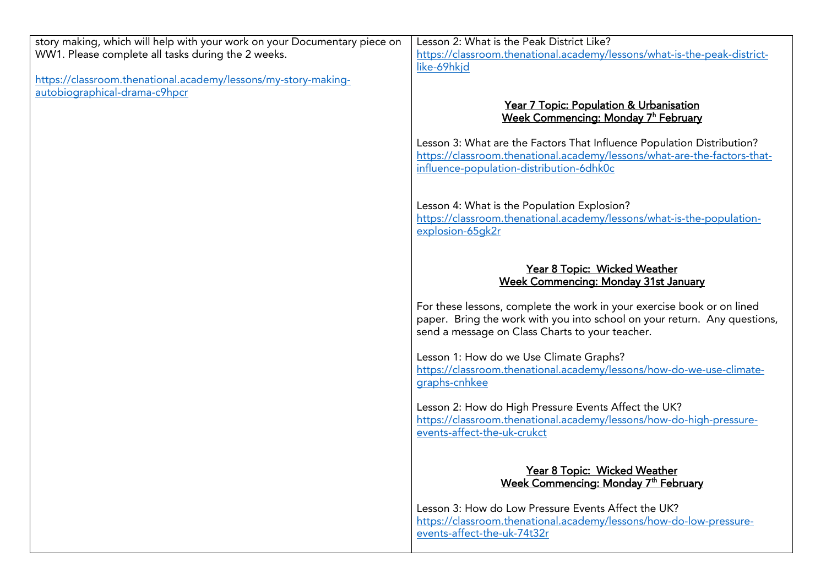story making, which will help with your work on your Documentary piece on WW1. Please complete all tasks during the 2 weeks. While the 2 weeks. Please complete all tasks during the 2 weeks. Please complete all tasks during the 2 weeks.

https://classroom.thenational.academy/lessons/my-story-making-<br>autobiographical-drama-c9hpcr autobiographical-drama-central-drama-central-drama-central-drama-central-drama-central-drama-central-drama-cen<br>Central-drama-central-drama-central-drama-central-drama-central-drama-central-drama-central-drama-central-dram

Lesson 2: What is the Peak District Like? https://classroom.thenational.academy/lessons/what-is-the-peak-districtlike-69hkjd like-69hkjd

## Week Commencing: Monday 7h February <u>week Commencing: Monday 7 February</u>

Lesson 3: What are the Factors That Influence Population Distribution?<br>https://classroom.thenational.academy/lessons/what-are-the-factors-thatinfluence-population-distribution-6dhk0c influence-population-distribution-distribution-distribution-distribution-distribution-distribution-distributio

[Lesson 4: What is the Population Explosion?](https://classroom.thenational.academy/lessons/what-is-the-population-explosion-65gk2r)<br>https://classroom.thenational.academy/lessons/what-is-the-populationexplosion-65ak2r explosion-distribution-distribution-

## Commencing: Monday 31st Jar week Commencing: Monday 31st January 31st January 31st January 31st January 31st January 31st January 31st January 31st January 31st January 31st January 31st January 31st January 31st January 31st January 31st January 31s

For these lessons, complete the work in your exercise book or on lined paper. Bring the work with you into school on your return. Any questions, send a message on Class Charts to your teacher. send a message on Class Charts to your teacher.

Lesson 1: How do we Use Climate Graphs? https://classroom.thenational.academy/lessons/how-do-we-use-climateqraphs-cnhkee graphs-cnhkee

Lesson 2: How do High Pressure Events Affect the UK?<br>https://classroom.thenational.academy/lessons/how-do-high-pressureevents-affect-the-uk-crukct events-affect-the-uk-crukch-the-uk-crukch-the-uk-crukch-the-uk-crukch-the-uk-crukch-

## Year 8 Topics of the Monday 7th Feb <u>week Commencing: Monday 7th February</u>

Lesson 3: How do Low Pressure Events Affect the UK? https://classroom.thenational.academy/lessons/how-do-low-pressureevents-affect-the-uk-74t32r events-affect-the-uk-74t32r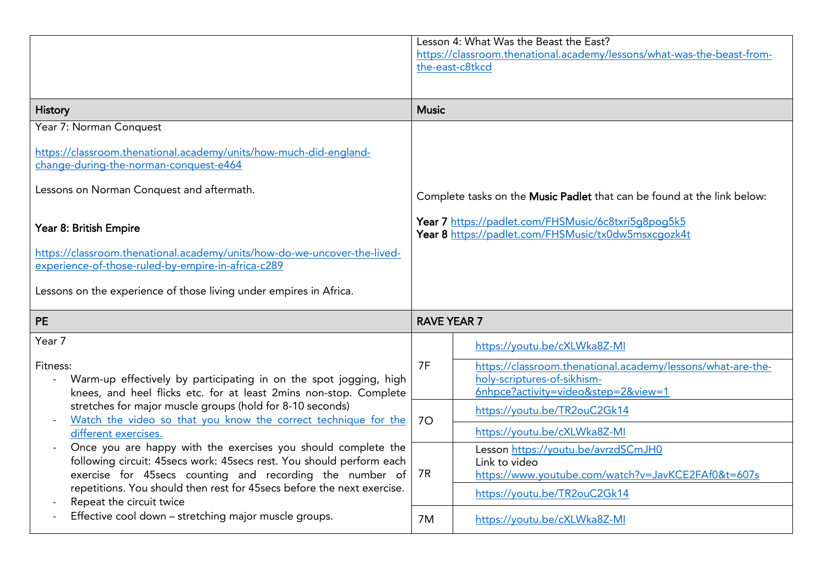|                                                                                                                                                                                                                                                                                                                                                                                                                                                                                                                                                                                                                                | Lesson 4: What Was the Beast the East?<br>https://classroom.thenational.academy/lessons/what-was-the-beast-from-<br>the-east-c8tkcd                                                   |  |
|--------------------------------------------------------------------------------------------------------------------------------------------------------------------------------------------------------------------------------------------------------------------------------------------------------------------------------------------------------------------------------------------------------------------------------------------------------------------------------------------------------------------------------------------------------------------------------------------------------------------------------|---------------------------------------------------------------------------------------------------------------------------------------------------------------------------------------|--|
| <b>History</b>                                                                                                                                                                                                                                                                                                                                                                                                                                                                                                                                                                                                                 | <b>Music</b>                                                                                                                                                                          |  |
| Year 7: Norman Conquest<br>https://classroom.thenational.academy/units/how-much-did-england-<br>change-during-the-norman-conquest-e464<br>Lessons on Norman Conquest and aftermath.<br>Year 8: British Empire<br>https://classroom.thenational.academy/units/how-do-we-uncover-the-lived-<br>experience-of-those-ruled-by-empire-in-africa-c289<br>Lessons on the experience of those living under empires in Africa.                                                                                                                                                                                                          | Complete tasks on the Music Padlet that can be found at the link below:<br>Year 7 https://padlet.com/FHSMusic/6c8txri5q8poq5k5<br>Year 8 https://padlet.com/FHSMusic/tx0dw5msxcgozk4t |  |
| <b>PE</b>                                                                                                                                                                                                                                                                                                                                                                                                                                                                                                                                                                                                                      | <b>RAVE YEAR 7</b>                                                                                                                                                                    |  |
| Year 7<br>Fitness:<br>Warm-up effectively by participating in on the spot jogging, high<br>knees, and heel flicks etc. for at least 2mins non-stop. Complete<br>stretches for major muscle groups (hold for 8-10 seconds)<br>Watch the video so that you know the correct technique for the<br>different exercises.<br>Once you are happy with the exercises you should complete the<br>following circuit: 45secs work: 45secs rest. You should perform each<br>exercise for 45secs counting and recording the number of<br>repetitions. You should then rest for 45secs before the next exercise.<br>Repeat the circuit twice | https://youtu.be/cXLWka8Z-MI<br>7F<br>https://classroom.thenational.academy/lessons/what-are-the-<br>holy-scriptures-of-sikhism-<br>6nhpce?activity=video&step=2&view=1               |  |
|                                                                                                                                                                                                                                                                                                                                                                                                                                                                                                                                                                                                                                | https://youtu.be/TR2ouC2Gk14<br>70<br>https://youtu.be/cXLWka8Z-MI                                                                                                                    |  |
|                                                                                                                                                                                                                                                                                                                                                                                                                                                                                                                                                                                                                                | Lesson https://youtu.be/avrzdSCmJH0<br>Link to video<br>7R<br>https://www.youtube.com/watch?v=JavKCE2FAf0&t=607s<br>https://youtu.be/TR2ouC2Gk14                                      |  |
| Effective cool down - stretching major muscle groups.                                                                                                                                                                                                                                                                                                                                                                                                                                                                                                                                                                          | https://youtu.be/cXLWka8Z-MI<br>7M                                                                                                                                                    |  |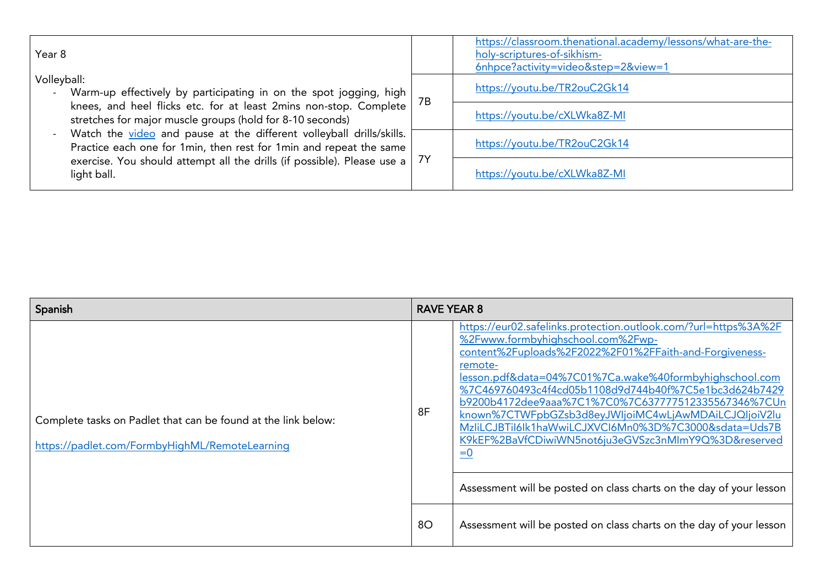| Year 8                                                                                                                                                                                                                                                                                                                                                                                                                                                          |    | https://classroom.thenational.academy/lessons/what-are-the-<br>holy-scriptures-of-sikhism-<br>6nhpce?activity=video&step=2&view=1 |
|-----------------------------------------------------------------------------------------------------------------------------------------------------------------------------------------------------------------------------------------------------------------------------------------------------------------------------------------------------------------------------------------------------------------------------------------------------------------|----|-----------------------------------------------------------------------------------------------------------------------------------|
| Volleyball:<br>Warm-up effectively by participating in on the spot jogging, high<br>knees, and heel flicks etc. for at least 2mins non-stop. Complete<br>stretches for major muscle groups (hold for 8-10 seconds)<br>Watch the video and pause at the different volleyball drills/skills.<br>Practice each one for 1min, then rest for 1min and repeat the same<br>exercise. You should attempt all the drills (if possible). Please use a   7Y<br>light ball. | 7B | https://youtu.be/TR2ouC2Gk14                                                                                                      |
|                                                                                                                                                                                                                                                                                                                                                                                                                                                                 |    | https://youtu.be/cXLWka8Z-MI                                                                                                      |
|                                                                                                                                                                                                                                                                                                                                                                                                                                                                 |    | https://youtu.be/TR2ouC2Gk14                                                                                                      |
|                                                                                                                                                                                                                                                                                                                                                                                                                                                                 |    | https://youtu.be/cXLWka8Z-MI                                                                                                      |

| Spanish                                                                                                         |    | <b>RAVE YEAR 8</b>                                                                                                                                                                                                                                                                                                                                                                                                                                                                                                                     |  |
|-----------------------------------------------------------------------------------------------------------------|----|----------------------------------------------------------------------------------------------------------------------------------------------------------------------------------------------------------------------------------------------------------------------------------------------------------------------------------------------------------------------------------------------------------------------------------------------------------------------------------------------------------------------------------------|--|
| Complete tasks on Padlet that can be found at the link below:<br>https://padlet.com/FormbyHighML/RemoteLearning | 8F | https://eur02.safelinks.protection.outlook.com/?url=https%3A%2F<br>%2Fwww.formbyhighschool.com%2Fwp-<br>content%2Fuploads%2F2022%2F01%2FFaith-and-Forgiveness-<br>remote-<br>lesson.pdf&data=04%7C01%7Ca.wake%40formbyhighschool.com<br>%7C469760493c4f4cd05b1108d9d744b40f%7C5e1bc3d624b7429<br>b9200b4172dee9aaa%7C1%7C0%7C637777512335567346%7CUn<br>known%7CTWFpbGZsb3d8eyJWljoiMC4wLjAwMDAiLCJQljoiV2lu<br>MzliLCJBTil6lk1haWwiLCJXVCl6Mn0%3D%7C3000&sdata=Uds7B<br>K9kEF%2BaVfCDiwiWN5not6ju3eGVSzc3nMImY9Q%3D&reserved<br>$= 0$ |  |
|                                                                                                                 |    | Assessment will be posted on class charts on the day of your lesson                                                                                                                                                                                                                                                                                                                                                                                                                                                                    |  |
|                                                                                                                 | 80 | Assessment will be posted on class charts on the day of your lesson                                                                                                                                                                                                                                                                                                                                                                                                                                                                    |  |